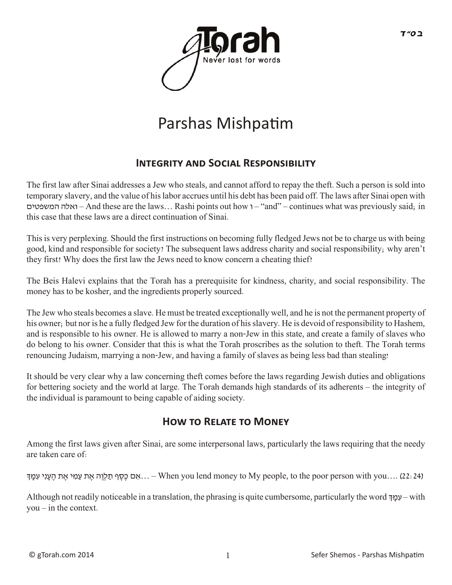

## Parshas Mishpatim

## **INTEGRITY AND SOCIAL RESPONSIBILITY**

The first law after Sinai addresses a Jew who steals, and cannot afford to repay the theft. Such a person is sold into temporary slavery, and the value of his labor accrues until his debt has been paid off. The laws after Sinai open with המשפטים ואלה – And these are the laws… Rashi points out how ו" – and" – continues what was previously said; in this case that these laws are a direct continuation of Sinai.

This is very perplexing. Should the first instructions on becoming fully fledged Jews not be to charge us with being good, kind and responsible for society? The subsequent laws address charity and social responsibility; why aren't they first? Why does the first law the Jews need to know concern a cheating thief?

The Beis Halevi explains that the Torah has a prerequisite for kindness, charity, and social responsibility. The money has to be kosher, and the ingredients properly sourced.

The Jew who steals becomes a slave. He must be treated exceptionally well, and he is not the permanent property of his owner; but nor is he a fully fledged Jew for the duration of his slavery. He is devoid of responsibility to Hashem, and is responsible to his owner. He is allowed to marry a non-Jew in this state, and create a family of slaves who do belong to his owner. Consider that this is what the Torah proscribes as the solution to theft. The Torah terms renouncing Judaism, marrying a non-Jew, and having a family of slaves as being less bad than stealing!

It should be very clear why a law concerning theft comes before the laws regarding Jewish duties and obligations for bettering society and the world at large. The Torah demands high standards of its adherents – the integrity of the individual is paramount to being capable of aiding society.

## **HOW TO RELATE TO MONEY**

Among the first laws given after Sinai, are some interpersonal laws, particularly the laws requiring that the needy are taken care of:

י יִגְמַדְּ merson with you .... – When you lend money to My people, to the poor person with you.... (22: 24).

Although not readily noticeable in a translation, the phrasing is quite cumbersome, particularly the word ךְּ ָמ ִע – with you – in the context.